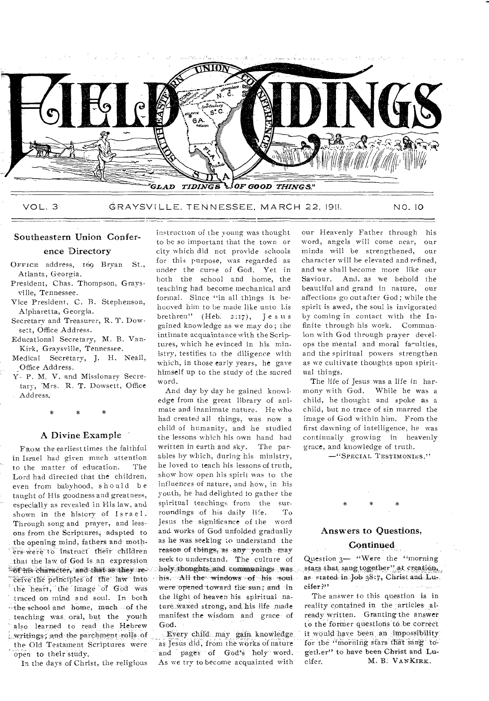

Southeastern Union Conference Directory

- OFFICE address, 169 Bryan St., Atlanta, **Georgia.**
- President, **Chas.** Thompson, **Grays**ville, Tennessee.
- Vice President, **C. B. Stephenson,**  Alpharetta, **Georgia.**
- Secretary and **Treasurer,** R. T. Dowsett, Office Address.
- Educational **Secretary, M.** B. Van-Kirk, **Graysville,** Tennessee.
- Medical **Secretary,** J. H. Neall, Office Address.
- **Y- P. M.** V. and **Missionary Secretary, '**Mrs. R. **T. Dowsett, Office Address.**

## A Divine Example

FROM the earliest times the faithful in Israel **had given much** attention to the matter of education. Lord had **directed that the children,**  even from **babyhood, should be taught of His goodness and greatness, especially as revealed in His law, and shown in the history of Israel. Through song and prayer,** and lessons **from the Scriptures; adapted to**  the opening mind, fathers and moth- as he was seeking to understand the **manners of the seeking to understand** the **may**  $\widetilde{C}$ rs were to instruct their children reason of things, as any youth may that the law of God is an expression  $164$  ins character, and that as they re-<sup>receive the principles of **the law** into</sup> the heart, the image of God was **traced on mind and soul. In both**   $-$  the school and home, much - of the **teaching was,** oral, but the youth **also learned to read the Hebrew**  writings; and the parchment rolls of **the Old Testament Scriptures were \_** open to their study.

In the days of Christ, the religious

instruction of the young was thought **to be so important that** the **town or city which did not provide schools for this purpose, was regarded as**  under the **curse of God. Yet in**  both the **school** and **home, the teaching** had **become mechanical and formal. Since "in all things it behooved him to be made like unto** Lis **brethren" (Heb. 2:17),** Jesus **gained knowledge as we may do; the intimate acquaintance with the Scriptures, which he evinced in his** ministry, testifies to **the diligence with**  which, in those early **years, he gave**  himself up to the **study of the sacred**  word.

And day by day **he gained** knowledge front **the great library of** animate and **inanimate nature.** He who had **created all things, was** now a child **of humanity, and he** studied the **lessons which his own** hand **had written in earth** and **sky. The par.**  ables by **which,** during **his ministry, he loved to teach** his **lessons of truth,**  show **how open his spirit was to the influences of nature, and how, in his**  youth, **he had delighted to gather** the spiritual **teachings from the surroundings of his daily life.** To Jesus **the significance of the** word and works of God unfolded gradually<br>as he was seeking to understand the holy thoughts and communings was<br>his - All the windows of his soul were opened toward the sun; and in **the light of heaven his spiritual natureiyaxed strong, and. his life made manifest the wisdom and grace of God.** 

Every child may gain knowledge **as Jesus did, from the works of nature**  and pages of God's holy word. As **we try to become acquainted with**  our Heavenly Father through his word, angels will **come near,** our minds will be **strengthened, our character will** be **elevated and refined, and we shall become more** like our **Saviour. And. as we** behold the **beautiful and grand in** nature, our affections **go out** after God; while the **spirit is awed, the** soul is invigorated **by coming in** contact with **the Infinite through his work.** Communion with God **through prayer** develops the mental and **moral** fa^ulties, and the spiritual **powers** strengthen as we cultivate **thoughts** upon spiritual things.

The life of Jesus was a life in harmony with God. While he was **a**  child, he thought and spoke as a child, but no trace **of sin marred** the image **of God within him. From the**  first **dawning of intelligence, he** was **continually growing in heavenly grace,** and knowledge of truth.

-"SPECIAL TESTIMONIES."

#### Answers to Questions,

### Continued

Question **3— "Were the "morning**  as. stated in Job 38.7, Christ and Lue, ether P'

The answer **to this question is in**  reality contained in the articles al**ready written. Granting the answer**  to the former questions to be correct it would have been an impossibility for the "morning stars that sang to**gather" to have been,Christ** and **'Lucifer. M. B:** VANKIRK.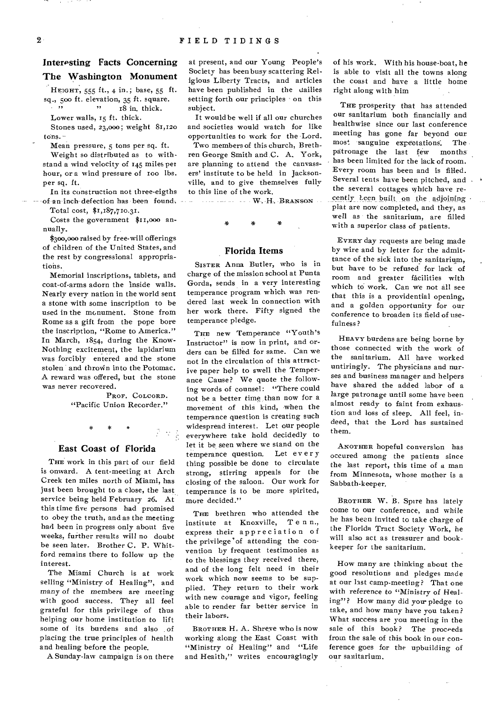# Interesting Facts Concerning The Washington Monument

HEIGHT, 555 ft., 4 in.; base, 55 ft. sq., 500 ft. elevation, 35 ft. square. " 18 in. thick.

Lower walls, 15 ft. thick.

Stones used, 23,000; weight 81,120 tons.-

Mean pressure, 5 tons per sq. ft.

Weight so distributed as to withstand a wind velocity of 145 miles pet hour, or a wind pressure of too lbs. per sq. ft.

In its construction not three-eigths of an inch defection has been found.

Total cost, \$1,187,710.31.

Costs the government \$11,000 annually.

\$300,000 raised by free-will offerings of children of the United States, and the rest by congressional appropriations.

Memorial inscriptions, tablets, and coat-of-arms adorn the inside walls. Nearly every nation in the world sent a stone with some inscription to be used in the monument. Stone from Rome as a gift from the pope bore the inscription, "Rome to America." In March, 1854, during the Know-Nothing excitement, the lapidarium was forcibly entered and the stone stolen and thrown into the Potomac. A reward was offered, but the stone was never recovered.

> PROF. COLCORD. "Pacific Union Recorder."

## East Coast of Florida

THE work in this part of our field is onward. A tent-meeting at Arch Creek ten miles north of Miami, has just been brought to a close, the last service being held February 26. At this time five persons had promised to obey the truth, and as the meeting had been in progress only about five weeks, further results will no doubt be seen later. Brother C. P. Whitford remains there to follow up the interest.

The Miami Church is at work selling "Ministry of Healing", and *many* of the *members* are meeting with good success. They all feel grateful for this privilege of thus helping our home institution to lift some of its burdens and also of placing the true principles of health and healing before the people.

A Sunday-law campaign is on there

at present, and our Young People's Society has been busy scattering Religious Liberty Tracts, and articles have been published in the dailies setting forth our principles on this subject.

It would be well if all our churches and societies would watch for like opportunities to work for the Lord.

Two members of this church, Brethren George Smith and C. A. York, are planning to attend the canvassers' institute to be held in Jacksonville, and to give themselves fully to this line of the work.

- - - - - - - - W. H. BRANSON -

# Florida Items

SISTER Anna Butler, who is in charge of the mission school at Punta Gorda, sends in a very interesting temperance program which was rendered last week in connection with her work there. Fifty signed the temperance pledge.

THE new Temperance "Youth's Instructor" is now in print, and orders can be filled for same. Can we not in the circulation of this attractive paper help to swell the Temperance Cause? We quote the following words of counsel: "There could not be a better time than now for a movement of this kind, when the temperance question is creating such widespread interest. Let our people everywhere take hold decidedly to let it be seen where we stand on the temperance question. Let every thing possible be done to circulate strong, stirring appeals for the closing of the saloon. Our work for temperance is to be more spirited, more decided."

THE brethren who attended the institute at Knoxville, T e n n., express their appreciation of the privilege'of attending the convention by frequent testimonies as to the blessings they received there, and of the long felt need in their work which now seems to be supplied. They return to their work with new courage and vigor, feeling able to render far better service in their labors.

BROTHER H. A. Shreve who is now working along the East Coast with "Ministry of Healing" and "Life and Health," writes encouragingly of his work. With his house-boat, he is able to visit all the towns along the coast and have a little home right along with him

THE prosperity that has attended our sanitarium both financially and healthwise since our last conference meeting has gone far beyond our most sanguine expectations: The patronage the last few months has been limited for the lack of room. Every room has been and is filled. Several tents have been pitched, and. the several cottages which have recently Leen built on the adjoining plat are now completed, and they, as well as the sanitarium, are filled with a superior class of patients.

EVERY day requests are being made by wire and by letter for the admittance of the sick into the sanitarium, but have to be refused for lack of room and greater facilities with which to work. Can we not all see that this is a providential opening, and a golden opportunity for our conference to broaden its field of usefulness?

HEAVY burdens are being borne by those connected with the work of the sanitarium. All have worked untiringly. The physicians and nurses and business manager and helpers have shared the added labor of a large patronage until some have been almost ready to faint from exhaustion and loss of sleep. All feel, indeed, that the Lord has sustained them.

ANOTHER hopeful conversion has occured among the patients since the last report, this time of a man from Minnesota, whose mother is a Sabbath-keeper.

BROTHER W. B. Spire has lately come to our conference, and while he has been invited to take charge of the Florida Tract Society Work, he will also act as treasurer and bookkeeper for the sanitarium.

How many are thinking about the good resolutions and pledges made at our last camp-meeting? That one with reference to "Ministry of Healing"? How many did you pledge to take, and how many have you taken? What success are you meeting in the sale of this book? The proceeds from the sale of this book in our conference goes for the upbuilding of our sanitarium.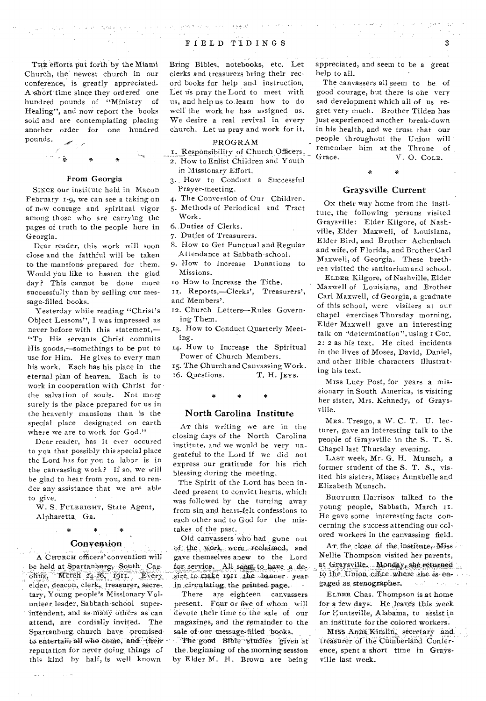THE efforts put forth by the Miami Church, the newest church in our conference, is greatly appreciated. A short time since they ordered one hundred pounds of "Ministry of Healing", and now report the books sold and are contemplating placing another order for one hundred pounds.

 $\label{eq:1.1} \mathcal{O}(\frac{2\pi}{\sqrt{3}}\log\frac{1}{\sqrt{3}}\log\frac{1}{\sqrt{3}}\log\frac{1}{\sqrt{3}}\log\frac{1}{\sqrt{3}}\log\frac{1}{\sqrt{3}}\log\frac{1}{\sqrt{3}}\log\frac{1}{\sqrt{3}}\log\frac{1}{\sqrt{3}}\log\frac{1}{\sqrt{3}}\log\frac{1}{\sqrt{3}}\log\frac{1}{\sqrt{3}}\log\frac{1}{\sqrt{3}}\log\frac{1}{\sqrt{3}}\log\frac{1}{\sqrt{3}}\log\frac{1}{\sqrt{3}}\log\frac{1}{\sqrt{3}}\$ 



### Front Georgia

SINCE our institute held in Macon February 1-9, we can see a taking on of new courage and spiritual vigor among those who are carrying the pages of truth to the people here in Georgia.

Dear reader, this work will soon close and the faithful will be taken to the mansions prepared for them. Would you like to hasten the glad day? This cannot be done more successfully than by selling our message-filled books.

Yesterday while reading "Christ's Object Lessons", I was impressed as never before with this statement,— "To His servants Christ commits His goods,—somethings to be put to use for Him. He gives to every man his work. Each has his place in the eternal plan of heaven. Each is to work in cooperation with Christ for the salvation of souls. Not more surely is the place prepared for us in the heavenly mansions than is the special place designated on earth where we are to work for God."

Dear reader, has it ever occured to you that possibly this special place the Lord has for you to labor is in the canvassing work? If so, we will be glad to hear from you, and to render any assistance that we are able to give.

W. S. FULBRIGHT, State Agent, Alpharetta, Ga.

# \* \* \* **Convention**

A CHURCH officers' convention will be held at Spartanburg, South Car- $\overline{O}$ Ilina, March 24-26, 1911. Every elder, deacon, clerk, treasurer, secretary, Young people's Missionary Volunteer leader, Sabbath-school superintendent, and as many others as can attend, are cordially invited. The Spartanburg church have promisedto entertain all who come, and their reputation for never doing things .of this kind by half, is well known

 $\sim 10^{-1}$ 

**College** 

# 구유권 박 PIELD TIDINGS 3

 $\label{eq:2.1} \rho_{\alpha\beta}(\omega_{\alpha\beta}^{\alpha\beta}) = \frac{1}{2} \epsilon^2 \partial \Phi_{\alpha\beta}^{\alpha\beta} \delta^{\alpha\beta} + 2 \left( \epsilon \partial_{\alpha\beta}^{\alpha\beta} - \epsilon \right) \delta^{\alpha\beta} \delta^{\alpha\beta}$ 

 $\mathcal{L}_{\mathcal{A}}(\mathbf{x})$  ,  $\mathbf{x}=(\mathbf{x},\mathbf{Z},\mathbf{y})$  ,  $\mathbf{x},\mathbf{z}=(\mathbf{x})$ 

Bring Bibles, notebooks, etc. Let clerks and treasurers bring their record books for help and instruction. Let us pray the Lord to meet with us, and help us to learn how to do well the work he has assigned us. We desire a real revival in every church. Let us pray and work for it.

#### PROGRAM

I. Responsibility of Church Officers. 2. How to Enlist Children and Youth

in Missionary Effort.

- 3. How to Conduct a Successful Prayer-meeting.
- 4. The Conversion of Our Children. 5. Methods of Periodical and Tract Work.
- 6. Duties of Clerks.
- 7. Duties of Treasurers.
- 8. HOW to Get Punctual and Regular Attendance at Sabbath-school.
- 9. How to Increase Donations to Missions.
- Io How to Increase the Tithe.
- Reports,—Clerks', Treasurers', and Members'.
- 12. Church Letters—Rules Governing Them.
- 13. How to Conduct Quarterly Meeting.
- 14. How to Increase the Spiritual Power of Church Members.

15. The Church and Canvassing Work.<br>16. Questions. T. H. JEYS. 16. Questions.

#### North Carolina Institute

AT this writing we are in the closing days of the North Carolina institute, and we would be very ungrateful to the Lord if we did not express our gratitude for his rich blessing during the meeting.

The Spirit of the Lord has been indeed present to convict hearts, which was followed by the turning away from sin, and heart,felt confessions to each other and to God for the mistakes of the past.

Old canvassers who had gone out of the work were reclaimed, and gave themselves anew to the Lord for service. All seem to have a desire to make 1911 the banner year. in circulating the printed page.  $\sim$ 

There are eighteen canvassers present. Four or five of whom will desvote their time to the sale of our magazines, and the remainder to the sale of our message-filled books.

The good Bible studies given at the, beginning of the. morning session by Elder. M. H. Brown are being

appreciated, and seem to be a great help to all.

The canvassers all seem to be of good courage, but there is one very sad development which all of us regret very much. Brother Tilden has just experienced another break-down in his health, and we trust that our people throughout the Union will remember him at the Throne of<br>Grace. V. O. Col.E. V. O. COLE.

### Graysville Current

 $\frac{1}{2}$ 

On their way home from the institute, the following persons visited Graysville: Elder Kilgore, of Nashville, Elder Maxwell, of Louisiana, Elder Bird, and Brother Achenbach and wife, of Florida, and Brother Carl Maxwell, of Georgia. These brethren visited the sanitarium and school.

ELDER Kilgore, of Nashville, Elder Maxwell of Louisiana, and Brother Carl Maxwell, of Georgia, a graduate of this school, were visiters at our chapel exercises Thursday morning. Elder Maxwell gave an interesting talk on "determination", using r Cor. 2: 2 as his text. He cited incidents in the lives of Moses, David, Daniel, and other Bible characters illustrating his text.

Miss Lucy Post, for years a missionary in South America, is visiting her sister, Mrs. Kennedy, of Graysville.

MRS. Treago, a W. C. T. U. lecturer, gave an interesting talk to the people of Graysville in the S. T. S. Chapel last Thursday evening.

LAST week, Mr. G. H. Munsch, a former student of the S. T. S., visited his sisters, Misses Annabelle and Elizabeth Munsch.

BROTHER Harrison talked to the young people, Sabbath, March He gave some interesting facts concerning the success attending our colored Workers in the canvassing field.

AT, the close of the institute, Miss Nellie Thompson visited her parents, at Graysville. Monday, she returned to the Union office where she is engaged as, stenographer.

ELDER Chas. Thompson is at home for a few days. He leaves this week. for Huntsville, Alabama, to assist in an institute for the colored workers.

Miss Anna Kimlin, secretary and. treasurer of the Cumberland Confer--enee; spent a short time in Graysville last week.